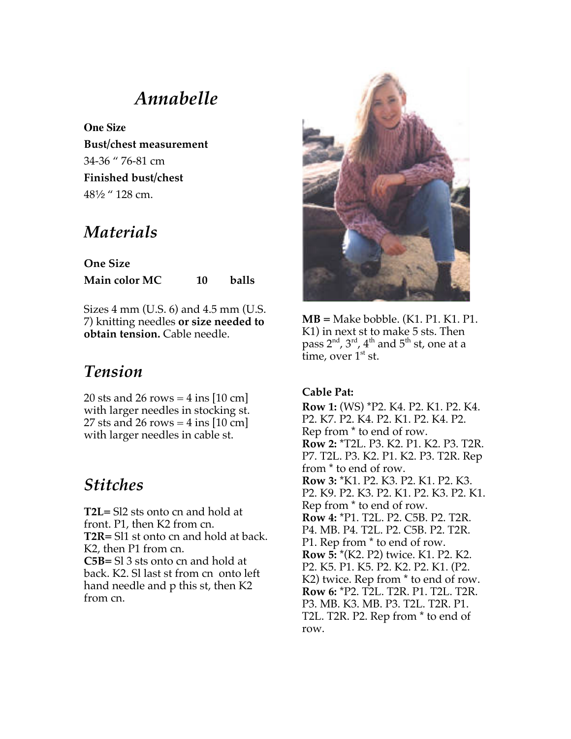# *Annabelle*

**One Size Bust/chest measurement** 34-36 " 76-81 cm **Finished bust/chest** 482 " 128 cm.

## *Materials*

**One Size Main color MC 10 balls**

Sizes 4 mm (U.S. 6) and 4.5 mm (U.S. 7) knitting needles **or size needed to obtain tension.** Cable needle.

# *Tension*

20 sts and 26 rows  $=$  4 ins [10 cm] with larger needles in stocking st. 27 sts and 26 rows =  $4$  ins [10 cm] with larger needles in cable st.

# *Stitches*

**T2L=** Sl2 sts onto cn and hold at front. P1, then K2 from cn. **T2R=** Sl1 st onto cn and hold at back. K2, then P1 from cn. **C5B=** Sl 3 sts onto cn and hold at back. K2. Sl last st from cn onto left hand needle and p this st, then K2 from cn.



**MB =** Make bobble. (K1. P1. K1. P1. K1) in next st to make 5 sts. Then pass  $2<sup>nd</sup>$ ,  $3<sup>rd</sup>$ ,  $4<sup>th</sup>$  and  $5<sup>th</sup>$  st, one at a time, over  $1<sup>st</sup>$  st.

### **Cable Pat:**

**Row 1:** (WS) \*P2. K4. P2. K1. P2. K4. P2. K7. P2. K4. P2. K1. P2. K4. P2. Rep from \* to end of row. **Row 2:** \*T2L. P3. K2. P1. K2. P3. T2R. P7. T2L. P3. K2. P1. K2. P3. T2R. Rep from \* to end of row. **Row 3:** \*K1. P2. K3. P2. K1. P2. K3. P2. K9. P2. K3. P2. K1. P2. K3. P2. K1. Rep from \* to end of row. **Row 4:** \*P1. T2L. P2. C5B. P2. T2R. P4. MB. P4. T2L. P2. C5B. P2. T2R. P1. Rep from \* to end of row. **Row 5:** \*(K2. P2) twice. K1. P2. K2. P2. K5. P1. K5. P2. K2. P2. K1. (P2. K2) twice. Rep from \* to end of row. **Row 6:** \*P2. T2L. T2R. P1. T2L. T2R. P3. MB. K3. MB. P3. T2L. T2R. P1. T2L. T2R. P2. Rep from \* to end of row.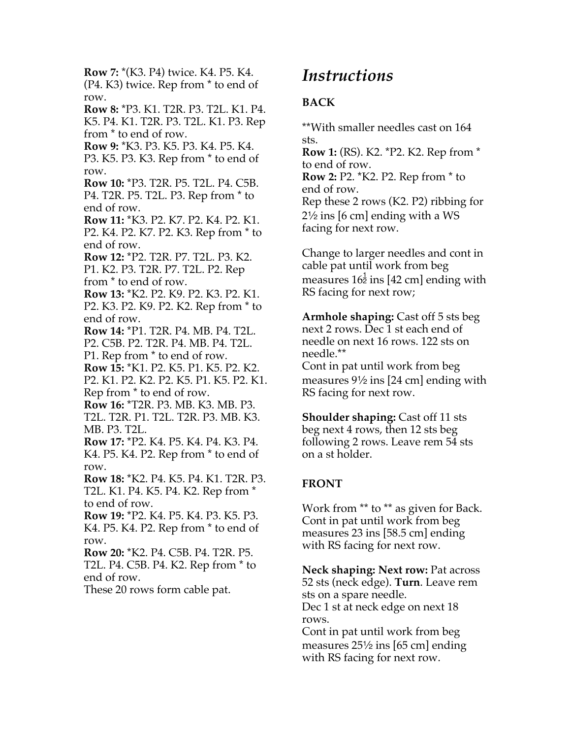**Row 7:** \*(K3. P4) twice. K4. P5. K4. (P4. K3) twice. Rep from \* to end of row. **Row 8:** \*P3. K1. T2R. P3. T2L. K1. P4. K5. P4. K1. T2R. P3. T2L. K1. P3. Rep from \* to end of row. **Row 9:** \*K3. P3. K5. P3. K4. P5. K4. P3. K5. P3. K3. Rep from \* to end of row. **Row 10:** \*P3. T2R. P5. T2L. P4. C5B. P4. T2R. P5. T2L. P3. Rep from \* to end of row. **Row 11:** \*K3. P2. K7. P2. K4. P2. K1. P2. K4. P2. K7. P2. K3. Rep from \* to end of row. **Row 12:** \*P2. T2R. P7. T2L. P3. K2. P1. K2. P3. T2R. P7. T2L. P2. Rep from \* to end of row. **Row 13:** \*K2. P2. K9. P2. K3. P2. K1. P2. K3. P2. K9. P2. K2. Rep from \* to end of row. **Row 14:** \*P1. T2R. P4. MB. P4. T2L. P2. C5B. P2. T2R. P4. MB. P4. T2L. P1. Rep from \* to end of row. **Row 15:** \*K1. P2. K5. P1. K5. P2. K2. P2. K1. P2. K2. P2. K5. P1. K5. P2. K1. Rep from \* to end of row. **Row 16:** \*T2R. P3. MB. K3. MB. P3. T2L. T2R. P1. T2L. T2R. P3. MB. K3. MB. P3. T2L. **Row 17:** \*P2. K4. P5. K4. P4. K3. P4. K4. P5. K4. P2. Rep from \* to end of row. **Row 18:** \*K2. P4. K5. P4. K1. T2R. P3. T2L. K1. P4. K5. P4. K2. Rep from \* to end of row. **Row 19:** \*P2. K4. P5. K4. P3. K5. P3. K4. P5. K4. P2. Rep from \* to end of row. **Row 20:** \*K2. P4. C5B. P4. T2R. P5. T2L. P4. C5B. P4. K2. Rep from \* to end of row. These 20 rows form cable pat.

## *Instructions*

### **BACK**

\*\*With smaller needles cast on 164 sts.

**Row 1:** (RS). K2. \*P2. K2. Rep from \* to end of row. **Row 2:** P2. \*K2. P2. Rep from \* to end of row. Rep these 2 rows (K2. P2) ribbing for  $2\frac{1}{2}$  ins [6 cm] ending with a WS facing for next row.

Change to larger needles and cont in cable pat until work from beg measures  $16\frac{1}{2}$  ins [42 cm] ending with RS facing for next row;

**Armhole shaping:** Cast off 5 sts beg next 2 rows. Dec 1 st each end of needle on next 16 rows. 122 sts on needle.\*\*

Cont in pat until work from beg measures  $9\frac{1}{2}$  ins [24 cm] ending with RS facing for next row.

**Shoulder shaping:** Cast off 11 sts beg next 4 rows, then 12 sts beg following 2 rows. Leave rem 54 sts on a st holder.

## **FRONT**

Work from \*\* to \*\* as given for Back. Cont in pat until work from beg measures 23 ins [58.5 cm] ending with RS facing for next row.

**Neck shaping: Next row:** Pat across 52 sts (neck edge). **Turn**. Leave rem sts on a spare needle. Dec 1 st at neck edge on next 18 rows.

Cont in pat until work from beg measures  $25\frac{1}{2}$  ins [65 cm] ending with RS facing for next row.